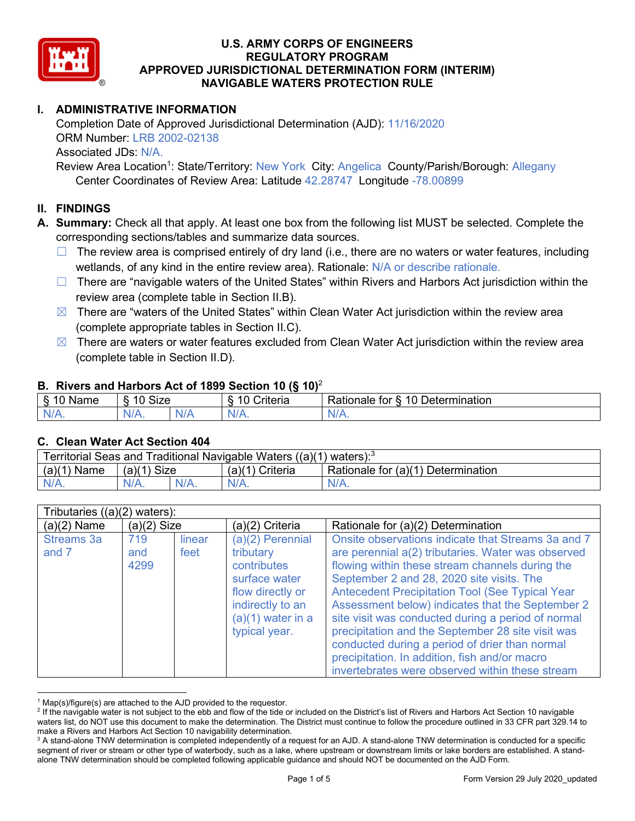

## **I. ADMINISTRATIVE INFORMATION**

Completion Date of Approved Jurisdictional Determination (AJD): 11/16/2020 ORM Number: LRB 2002-02138 Associated JDs: N/A.

Review Area Location<sup>1</sup>: State/Territory: New York City: Angelica County/Parish/Borough: Allegany Center Coordinates of Review Area: Latitude 42.28747 Longitude -78.00899

### **II. FINDINGS**

**A. Summary:** Check all that apply. At least one box from the following list MUST be selected. Complete the corresponding sections/tables and summarize data sources.

- $\Box$  The review area is comprised entirely of dry land (i.e., there are no waters or water features, including wetlands, of any kind in the entire review area). Rationale: N/A or describe rationale.
- $\Box$  There are "navigable waters of the United States" within Rivers and Harbors Act jurisdiction within the review area (complete table in Section II.B).
- $\boxtimes$  There are "waters of the United States" within Clean Water Act jurisdiction within the review area (complete appropriate tables in Section II.C).
- $\boxtimes$  There are waters or water features excluded from Clean Water Act jurisdiction within the review area (complete table in Section II.D).

#### **B. Rivers and Harbors Act of 1899 Section 10 (§ 10)**<sup>2</sup>

| $\cdot$                   |                      |        |                                                             |                                                 |  |  |  |
|---------------------------|----------------------|--------|-------------------------------------------------------------|-------------------------------------------------|--|--|--|
| $\sim$<br>$-$<br>ame<br>◡ | 10<br>$\sim$<br>SIZE |        | .<br>10<br>$^{\circ}$ rıt $\cap$ rı $\cap$<br><b>AILCIT</b> | Determination<br>$\sqrt{ }$<br>Rationale<br>tor |  |  |  |
| $N/A$ .                   | ו גו<br>97 / TV .    | w<br>. | $N/A$ .                                                     | $N_{\ell}$<br>$\mathbf{v}$                      |  |  |  |

#### **C. Clean Water Act Section 404**

| Territorial Seas and Traditional Navigable Waters $((a)(1)$ waters): <sup>3</sup> |                |  |                 |                                    |  |  |
|-----------------------------------------------------------------------------------|----------------|--|-----------------|------------------------------------|--|--|
| (a)(1)<br>Name                                                                    | Size<br>(a)(1) |  | (a)(1) Criteria | Rationale for (a)(1) Determination |  |  |
|                                                                                   | $N/A$ .        |  | $N/A$ .         | $N/A$ .                            |  |  |

| Tributaries $((a)(2)$ waters): |                    |                |                                                                                                                                               |                                                                                                                                                                                                                                                                                                                                                                                                                                                                                                                                                                                         |  |  |
|--------------------------------|--------------------|----------------|-----------------------------------------------------------------------------------------------------------------------------------------------|-----------------------------------------------------------------------------------------------------------------------------------------------------------------------------------------------------------------------------------------------------------------------------------------------------------------------------------------------------------------------------------------------------------------------------------------------------------------------------------------------------------------------------------------------------------------------------------------|--|--|
| $(a)(2)$ Name                  | $(a)(2)$ Size      |                | (a)(2) Criteria                                                                                                                               | Rationale for (a)(2) Determination                                                                                                                                                                                                                                                                                                                                                                                                                                                                                                                                                      |  |  |
| <b>Streams 3a</b><br>and 7     | 719<br>and<br>4299 | linear<br>feet | (a)(2) Perennial<br>tributary<br>contributes<br>surface water<br>flow directly or<br>indirectly to an<br>$(a)(1)$ water in a<br>typical year. | Onsite observations indicate that Streams 3a and 7<br>are perennial a(2) tributaries. Water was observed<br>flowing within these stream channels during the<br>September 2 and 28, 2020 site visits. The<br><b>Antecedent Precipitation Tool (See Typical Year</b><br>Assessment below) indicates that the September 2<br>site visit was conducted during a period of normal<br>precipitation and the September 28 site visit was<br>conducted during a period of drier than normal<br>precipitation. In addition, fish and/or macro<br>invertebrates were observed within these stream |  |  |

 $1$  Map(s)/figure(s) are attached to the AJD provided to the requestor.

<sup>&</sup>lt;sup>2</sup> If the navigable water is not subject to the ebb and flow of the tide or included on the District's list of Rivers and Harbors Act Section 10 navigable waters list, do NOT use this document to make the determination. The District must continue to follow the procedure outlined in 33 CFR part 329.14 to make a Rivers and Harbors Act Section 10 navigability determination.

<sup>&</sup>lt;sup>3</sup> A stand-alone TNW determination is completed independently of a request for an AJD. A stand-alone TNW determination is conducted for a specific segment of river or stream or other type of waterbody, such as a lake, where upstream or downstream limits or lake borders are established. A standalone TNW determination should be completed following applicable guidance and should NOT be documented on the AJD Form.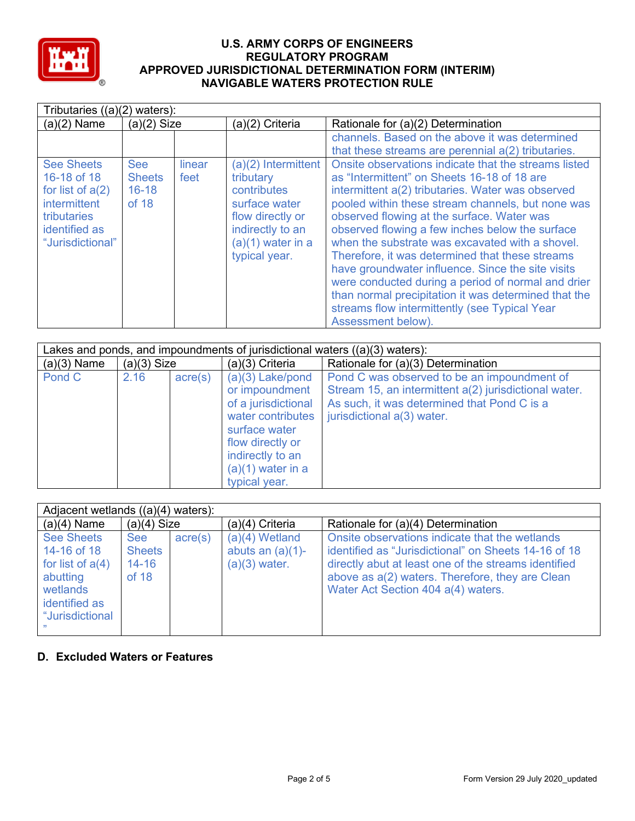

| Tributaries $((a)(2)$ waters):                                                                                                           |                                                   |                |                                                                                                                                                    |                                                                                                                                                                                                                                                                                                                                                                                                                                                                                                                                                                                                                                                                |  |  |
|------------------------------------------------------------------------------------------------------------------------------------------|---------------------------------------------------|----------------|----------------------------------------------------------------------------------------------------------------------------------------------------|----------------------------------------------------------------------------------------------------------------------------------------------------------------------------------------------------------------------------------------------------------------------------------------------------------------------------------------------------------------------------------------------------------------------------------------------------------------------------------------------------------------------------------------------------------------------------------------------------------------------------------------------------------------|--|--|
| $(a)(2)$ Name                                                                                                                            | $(a)(2)$ Size                                     |                | (a)(2) Criteria                                                                                                                                    | Rationale for (a)(2) Determination                                                                                                                                                                                                                                                                                                                                                                                                                                                                                                                                                                                                                             |  |  |
|                                                                                                                                          |                                                   |                |                                                                                                                                                    | channels. Based on the above it was determined<br>that these streams are perennial a(2) tributaries.                                                                                                                                                                                                                                                                                                                                                                                                                                                                                                                                                           |  |  |
| <b>See Sheets</b><br>16-18 of 18<br>for list of $a(2)$<br><b>intermittent</b><br><b>tributaries</b><br>identified as<br>"Jurisdictional" | <b>See</b><br><b>Sheets</b><br>$16 - 18$<br>of 18 | linear<br>feet | $(a)(2)$ Intermittent<br>tributary<br>contributes<br>surface water<br>flow directly or<br>indirectly to an<br>$(a)(1)$ water in a<br>typical year. | Onsite observations indicate that the streams listed<br>as "Intermittent" on Sheets 16-18 of 18 are<br>intermittent a(2) tributaries. Water was observed<br>pooled within these stream channels, but none was<br>observed flowing at the surface. Water was<br>observed flowing a few inches below the surface<br>when the substrate was excavated with a shovel.<br>Therefore, it was determined that these streams<br>have groundwater influence. Since the site visits<br>were conducted during a period of normal and drier<br>than normal precipitation it was determined that the<br>streams flow intermittently (see Typical Year<br>Assessment below). |  |  |

| Lakes and ponds, and impoundments of jurisdictional waters $((a)(3)$ waters): |               |                  |                                                                                                                                                                                   |                                                                                                                                                                                   |  |  |
|-------------------------------------------------------------------------------|---------------|------------------|-----------------------------------------------------------------------------------------------------------------------------------------------------------------------------------|-----------------------------------------------------------------------------------------------------------------------------------------------------------------------------------|--|--|
| $(a)(3)$ Name                                                                 | $(a)(3)$ Size |                  | (a)(3) Criteria                                                                                                                                                                   | Rationale for (a)(3) Determination                                                                                                                                                |  |  |
| Pond C                                                                        | 2.16          | $\text{acre}(s)$ | $(a)(3)$ Lake/pond<br>or impoundment<br>of a jurisdictional<br>water contributes<br>surface water<br>flow directly or<br>indirectly to an<br>$(a)(1)$ water in a<br>typical year. | Pond C was observed to be an impoundment of<br>Stream 15, an intermittent a(2) jurisdictional water.<br>As such, it was determined that Pond C is a<br>jurisdictional a(3) water. |  |  |

| Adjacent wetlands $((a)(4)$ waters):                                                                               |                                            |                  |                                                            |                                                                                                                                                                                                                                                         |  |  |
|--------------------------------------------------------------------------------------------------------------------|--------------------------------------------|------------------|------------------------------------------------------------|---------------------------------------------------------------------------------------------------------------------------------------------------------------------------------------------------------------------------------------------------------|--|--|
| $(a)(4)$ Name                                                                                                      | $(a)(4)$ Size                              |                  | $(a)(4)$ Criteria                                          | Rationale for (a)(4) Determination                                                                                                                                                                                                                      |  |  |
| <b>See Sheets</b><br>14-16 of 18<br>for list of $a(4)$<br>abutting<br>wetlands<br>identified as<br>"Jurisdictional | See<br><b>Sheets</b><br>$14 - 16$<br>of 18 | $\text{acre}(s)$ | $(a)(4)$ Wetland<br>abuts an $(a)(1)$ -<br>$(a)(3)$ water. | Onsite observations indicate that the wetlands<br>identified as "Jurisdictional" on Sheets 14-16 of 18<br>directly abut at least one of the streams identified<br>above as a(2) waters. Therefore, they are Clean<br>Water Act Section 404 a(4) waters. |  |  |

## **D. Excluded Waters or Features**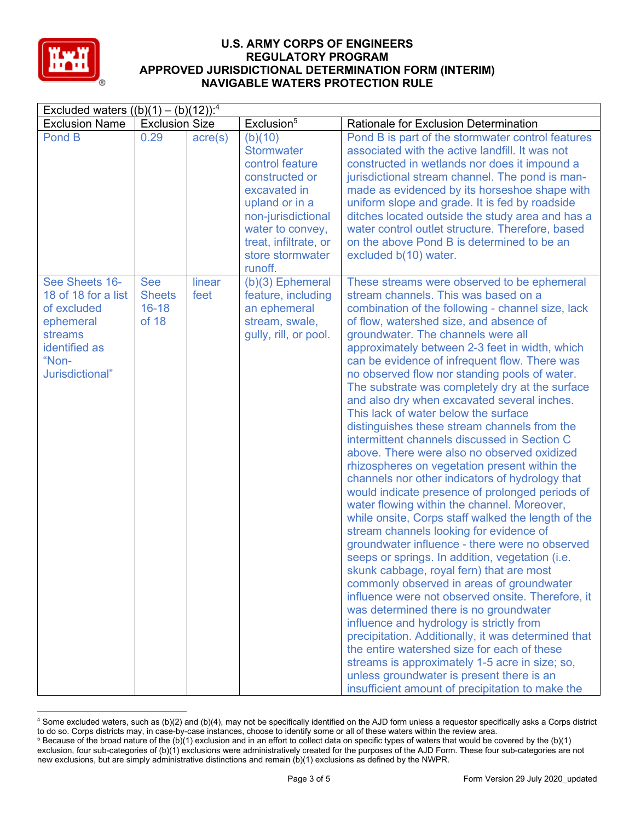

|                                                                                                                           | Excluded waters $((b)(1) - (b)(12))$ : <sup>4</sup> |                  |                                                                                                                                                                                                       |                                                                                                                                                                                                                                                                                                                                                                                                                                                                                                                                                                                                                                                                                                                                                                                                                                                                                                                                                                                                                                                                                                                                                                                                                                                                                                                                                                                                                                                                                                                                                                                 |  |  |
|---------------------------------------------------------------------------------------------------------------------------|-----------------------------------------------------|------------------|-------------------------------------------------------------------------------------------------------------------------------------------------------------------------------------------------------|---------------------------------------------------------------------------------------------------------------------------------------------------------------------------------------------------------------------------------------------------------------------------------------------------------------------------------------------------------------------------------------------------------------------------------------------------------------------------------------------------------------------------------------------------------------------------------------------------------------------------------------------------------------------------------------------------------------------------------------------------------------------------------------------------------------------------------------------------------------------------------------------------------------------------------------------------------------------------------------------------------------------------------------------------------------------------------------------------------------------------------------------------------------------------------------------------------------------------------------------------------------------------------------------------------------------------------------------------------------------------------------------------------------------------------------------------------------------------------------------------------------------------------------------------------------------------------|--|--|
| <b>Exclusion Name</b>                                                                                                     | <b>Exclusion Size</b>                               |                  | Exclusion <sup>5</sup>                                                                                                                                                                                | Rationale for Exclusion Determination                                                                                                                                                                                                                                                                                                                                                                                                                                                                                                                                                                                                                                                                                                                                                                                                                                                                                                                                                                                                                                                                                                                                                                                                                                                                                                                                                                                                                                                                                                                                           |  |  |
| Pond B                                                                                                                    | 0.29                                                | $\text{acre}(s)$ | (b)(10)<br><b>Stormwater</b><br>control feature<br>constructed or<br>excavated in<br>upland or in a<br>non-jurisdictional<br>water to convey,<br>treat, infiltrate, or<br>store stormwater<br>runoff. | Pond B is part of the stormwater control features<br>associated with the active landfill. It was not<br>constructed in wetlands nor does it impound a<br>jurisdictional stream channel. The pond is man-<br>made as evidenced by its horseshoe shape with<br>uniform slope and grade. It is fed by roadside<br>ditches located outside the study area and has a<br>water control outlet structure. Therefore, based<br>on the above Pond B is determined to be an<br>excluded b(10) water.                                                                                                                                                                                                                                                                                                                                                                                                                                                                                                                                                                                                                                                                                                                                                                                                                                                                                                                                                                                                                                                                                      |  |  |
| See Sheets 16-<br>18 of 18 for a list<br>of excluded<br>ephemeral<br>streams<br>identified as<br>"Non-<br>Jurisdictional" | <b>See</b><br><b>Sheets</b><br>$16 - 18$<br>of 18   | linear<br>feet   | $(b)(3)$ Ephemeral<br>feature, including<br>an ephemeral<br>stream, swale,<br>gully, rill, or pool.                                                                                                   | These streams were observed to be ephemeral<br>stream channels. This was based on a<br>combination of the following - channel size, lack<br>of flow, watershed size, and absence of<br>groundwater. The channels were all<br>approximately between 2-3 feet in width, which<br>can be evidence of infrequent flow. There was<br>no observed flow nor standing pools of water.<br>The substrate was completely dry at the surface<br>and also dry when excavated several inches.<br>This lack of water below the surface<br>distinguishes these stream channels from the<br>intermittent channels discussed in Section C<br>above. There were also no observed oxidized<br>rhizospheres on vegetation present within the<br>channels nor other indicators of hydrology that<br>would indicate presence of prolonged periods of<br>water flowing within the channel. Moreover,<br>while onsite, Corps staff walked the length of the<br>stream channels looking for evidence of<br>groundwater influence - there were no observed<br>seeps or springs. In addition, vegetation (i.e.<br>skunk cabbage, royal fern) that are most<br>commonly observed in areas of groundwater<br>influence were not observed onsite. Therefore, it<br>was determined there is no groundwater<br>influence and hydrology is strictly from<br>precipitation. Additionally, it was determined that<br>the entire watershed size for each of these<br>streams is approximately 1-5 acre in size; so,<br>unless groundwater is present there is an<br>insufficient amount of precipitation to make the |  |  |

<sup>4</sup> Some excluded waters, such as (b)(2) and (b)(4), may not be specifically identified on the AJD form unless a requestor specifically asks a Corps district to do so. Corps districts may, in case-by-case instances, choose to identify some or all of these waters within the review area.  $5$  Because of the broad nature of the (b)(1) exclusion and in an effort to collect data on specific types of waters that would be covered by the (b)(1)

exclusion, four sub-categories of (b)(1) exclusions were administratively created for the purposes of the AJD Form. These four sub-categories are not new exclusions, but are simply administrative distinctions and remain (b)(1) exclusions as defined by the NWPR.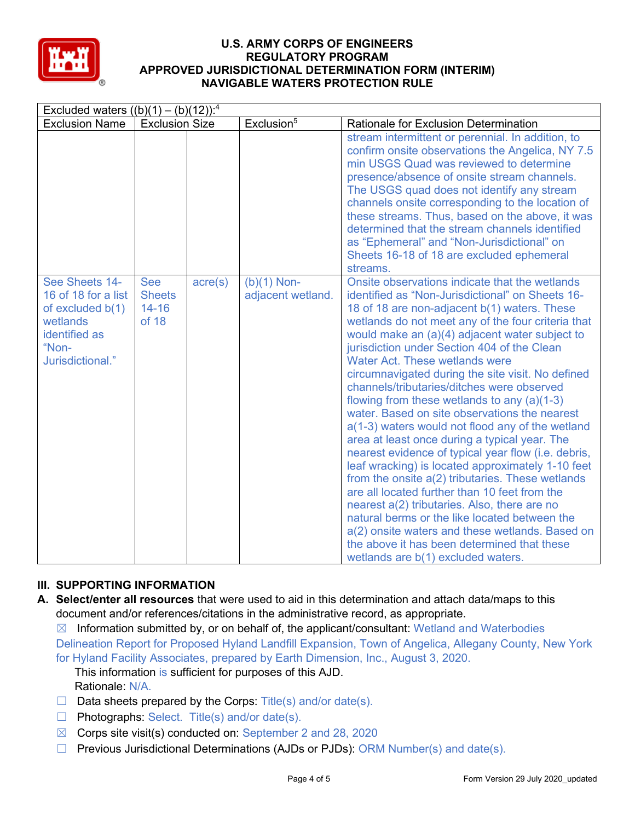

| Excluded waters $((b)(1) - (b)(12))$ : <sup>4</sup>                                                                   |                                                   |                  |                                    |                                                                                                                                                                                                                                                                                                                                                                                                                                                                                                                                                                                                                                                                                                                                                                                                                                                                                                                                                                                                                                                                                                                      |  |
|-----------------------------------------------------------------------------------------------------------------------|---------------------------------------------------|------------------|------------------------------------|----------------------------------------------------------------------------------------------------------------------------------------------------------------------------------------------------------------------------------------------------------------------------------------------------------------------------------------------------------------------------------------------------------------------------------------------------------------------------------------------------------------------------------------------------------------------------------------------------------------------------------------------------------------------------------------------------------------------------------------------------------------------------------------------------------------------------------------------------------------------------------------------------------------------------------------------------------------------------------------------------------------------------------------------------------------------------------------------------------------------|--|
| <b>Exclusion Name</b>                                                                                                 | <b>Exclusion Size</b>                             |                  | Exclusion <sup>5</sup>             | Rationale for Exclusion Determination                                                                                                                                                                                                                                                                                                                                                                                                                                                                                                                                                                                                                                                                                                                                                                                                                                                                                                                                                                                                                                                                                |  |
|                                                                                                                       |                                                   |                  |                                    | stream intermittent or perennial. In addition, to<br>confirm onsite observations the Angelica, NY 7.5<br>min USGS Quad was reviewed to determine<br>presence/absence of onsite stream channels.<br>The USGS quad does not identify any stream<br>channels onsite corresponding to the location of<br>these streams. Thus, based on the above, it was<br>determined that the stream channels identified<br>as "Ephemeral" and "Non-Jurisdictional" on<br>Sheets 16-18 of 18 are excluded ephemeral<br>streams.                                                                                                                                                                                                                                                                                                                                                                                                                                                                                                                                                                                                        |  |
| See Sheets 14-<br>16 of 18 for a list<br>of excluded $b(1)$<br>wetlands<br>identified as<br>"Non-<br>Jurisdictional." | <b>See</b><br><b>Sheets</b><br>$14 - 16$<br>of 18 | $\text{acre}(s)$ | $(b)(1)$ Non-<br>adjacent wetland. | Onsite observations indicate that the wetlands<br>identified as "Non-Jurisdictional" on Sheets 16-<br>18 of 18 are non-adjacent b(1) waters. These<br>wetlands do not meet any of the four criteria that<br>would make an (a)(4) adjacent water subject to<br>jurisdiction under Section 404 of the Clean<br><b>Water Act. These wetlands were</b><br>circumnavigated during the site visit. No defined<br>channels/tributaries/ditches were observed<br>flowing from these wetlands to any (a)(1-3)<br>water. Based on site observations the nearest<br>a(1-3) waters would not flood any of the wetland<br>area at least once during a typical year. The<br>nearest evidence of typical year flow (i.e. debris,<br>leaf wracking) is located approximately 1-10 feet<br>from the onsite a(2) tributaries. These wetlands<br>are all located further than 10 feet from the<br>nearest a(2) tributaries. Also, there are no<br>natural berms or the like located between the<br>a(2) onsite waters and these wetlands. Based on<br>the above it has been determined that these<br>wetlands are b(1) excluded waters. |  |

# **III. SUPPORTING INFORMATION**

**A. Select/enter all resources** that were used to aid in this determination and attach data/maps to this document and/or references/citations in the administrative record, as appropriate.

 $\boxtimes$  Information submitted by, or on behalf of, the applicant/consultant: Wetland and Waterbodies Delineation Report for Proposed Hyland Landfill Expansion, Town of Angelica, Allegany County, New York for Hyland Facility Associates, prepared by Earth Dimension, Inc., August 3, 2020.

This information is sufficient for purposes of this AJD. Rationale: N/A.

- $\Box$  Data sheets prepared by the Corps: Title(s) and/or date(s).
- ☐ Photographs: Select. Title(s) and/or date(s).
- $\boxtimes$  Corps site visit(s) conducted on: September 2 and 28, 2020
- ☐ Previous Jurisdictional Determinations (AJDs or PJDs): ORM Number(s) and date(s).